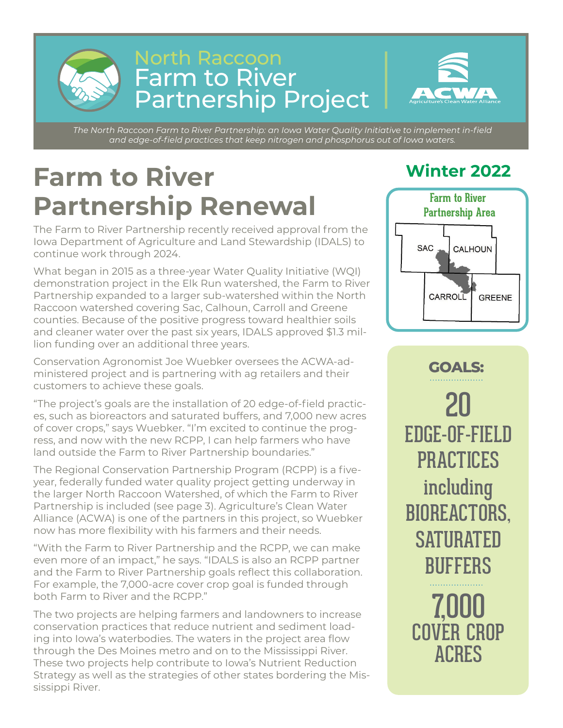

#### North Raccoon Farm to River Partnership Project



*The North Raccoon Farm to River Partnership: an Iowa Water Quality Initiative to implement in-field and edge-of-field practices that keep nitrogen and phosphorus out of Iowa waters.*

## **Winter 2022 Farm to River Partnership Renewal**

The Farm to River Partnership recently received approval from the Iowa Department of Agriculture and Land Stewardship (IDALS) to continue work through 2024.

What began in 2015 as a three-year Water Quality Initiative (WQI) demonstration project in the Elk Run watershed, the Farm to River Partnership expanded to a larger sub-watershed within the North Raccoon watershed covering Sac, Calhoun, Carroll and Greene counties. Because of the positive progress toward healthier soils and cleaner water over the past six years, IDALS approved \$1.3 million funding over an additional three years.

Conservation Agronomist Joe Wuebker oversees the ACWA-administered project and is partnering with ag retailers and their customers to achieve these goals.

"The project's goals are the installation of 20 edge-of-field practices, such as bioreactors and saturated buffers, and 7,000 new acres of cover crops," says Wuebker. "I'm excited to continue the progress, and now with the new RCPP, I can help farmers who have land outside the Farm to River Partnership boundaries."

The Regional Conservation Partnership Program (RCPP) is a fiveyear, federally funded water quality project getting underway in the larger North Raccoon Watershed, of which the Farm to River Partnership is included (see page 3). Agriculture's Clean Water Alliance (ACWA) is one of the partners in this project, so Wuebker now has more flexibility with his farmers and their needs.

"With the Farm to River Partnership and the RCPP, we can make even more of an impact," he says. "IDALS is also an RCPP partner and the Farm to River Partnership goals reflect this collaboration. For example, the 7,000-acre cover crop goal is funded through both Farm to River and the RCPP."

The two projects are helping farmers and landowners to increase conservation practices that reduce nutrient and sediment loading into Iowa's waterbodies. The waters in the project area flow through the Des Moines metro and on to the Mississippi River. These two projects help contribute to Iowa's Nutrient Reduction Strategy as well as the strategies of other states bordering the Mississippi River.



20 EDGE-OF-FIELD PRACTICES including BIOREACTORS, **SATURATED** BUFFERS **GOALS:** 

7,000 COVER CROP ACRES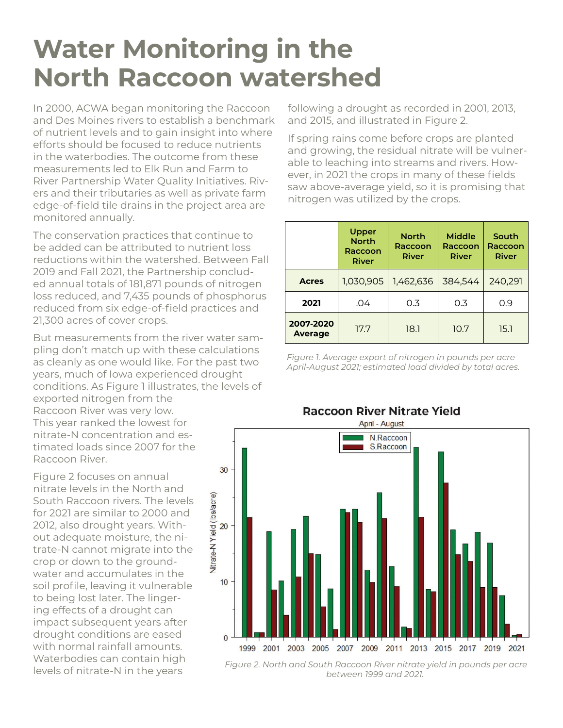#### **Water Monitoring in the North Raccoon watershed**

In 2000, ACWA began monitoring the Raccoon and Des Moines rivers to establish a benchmark of nutrient levels and to gain insight into where efforts should be focused to reduce nutrients in the waterbodies. The outcome from these measurements led to Elk Run and Farm to River Partnership Water Quality Initiatives. Rivers and their tributaries as well as private farm edge-of-field tile drains in the project area are monitored annually.

The conservation practices that continue to be added can be attributed to nutrient loss reductions within the watershed. Between Fall 2019 and Fall 2021, the Partnership concluded annual totals of 181,871 pounds of nitrogen loss reduced, and 7,435 pounds of phosphorus reduced from six edge-of-field practices and 21,300 acres of cover crops.

But measurements from the river water sampling don't match up with these calculations as cleanly as one would like. For the past two years, much of Iowa experienced drought conditions. As Figure 1 illustrates, the levels of exported nitrogen from the Raccoon River was very low. This year ranked the lowest for nitrate-N concentration and estimated loads since 2007 for the Raccoon River.

Figure 2 focuses on annual nitrate levels in the North and South Raccoon rivers. The levels for 2021 are similar to 2000 and 2012, also drought years. Without adequate moisture, the nitrate-N cannot migrate into the crop or down to the groundwater and accumulates in the soil profile, leaving it vulnerable to being lost later. The lingering effects of a drought can impact subsequent years after drought conditions are eased with normal rainfall amounts. Waterbodies can contain high

following a drought as recorded in 2001, 2013, and 2015, and illustrated in Figure 2.

If spring rains come before crops are planted and growing, the residual nitrate will be vulnerable to leaching into streams and rivers. However, in 2021 the crops in many of these fields saw above-average yield, so it is promising that nitrogen was utilized by the crops.

|                             | Upper<br><b>North</b><br>Raccoon<br><b>River</b> | <b>North</b><br>Raccoon<br><b>River</b> | <b>Middle</b><br>Raccoon<br><b>River</b> | South<br>Raccoon<br><b>River</b> |
|-----------------------------|--------------------------------------------------|-----------------------------------------|------------------------------------------|----------------------------------|
| <b>Acres</b>                | 1,030,905                                        | 1,462,636                               | 384,544                                  | 240,291                          |
| 2021                        | .04                                              | 0.3                                     | 0.3                                      | 0.9                              |
| 2007-2020<br><b>Average</b> | 17.7                                             | 18.1                                    | 10.7                                     | 15.1                             |

*Figure 1. Average export of nitrogen in pounds per acre April-August 2021; estimated load divided by total acres.*



levels of nitrate-N in the years *Figure 2. North and South Raccoon River nitrate yield in pounds per acre between 1999 and 2021.*

#### **Raccoon River Nitrate Yield**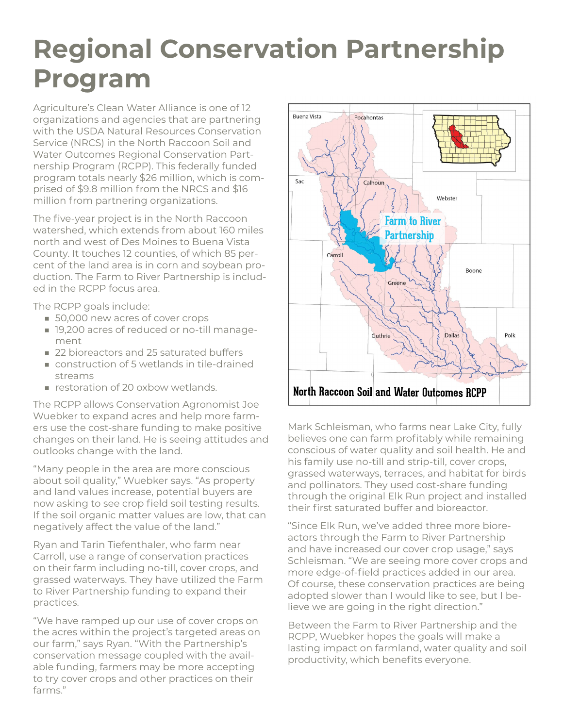## **Regional Conservation Partnership Program**

Agriculture's Clean Water Alliance is one of 12 organizations and agencies that are partnering with the USDA Natural Resources Conservation Service (NRCS) in the North Raccoon Soil and Water Outcomes Regional Conservation Partnership Program (RCPP). This federally funded program totals nearly \$26 million, which is comprised of \$9.8 million from the NRCS and \$16 million from partnering organizations.

The five-year project is in the North Raccoon watershed, which extends from about 160 miles north and west of Des Moines to Buena Vista County. It touches 12 counties, of which 85 percent of the land area is in corn and soybean production. The Farm to River Partnership is included in the RCPP focus area.

The RCPP goals include:

- 50,000 new acres of cover crops
- 19,200 acres of reduced or no-till management
- 22 bioreactors and 25 saturated buffers
- construction of 5 wetlands in tile-drained streams
- restoration of 20 oxbow wetlands.

The RCPP allows Conservation Agronomist Joe Wuebker to expand acres and help more farmers use the cost-share funding to make positive changes on their land. He is seeing attitudes and outlooks change with the land.

"Many people in the area are more conscious about soil quality," Wuebker says. "As property and land values increase, potential buyers are now asking to see crop field soil testing results. If the soil organic matter values are low, that can negatively affect the value of the land."

Ryan and Tarin Tiefenthaler, who farm near Carroll, use a range of conservation practices on their farm including no-till, cover crops, and grassed waterways. They have utilized the Farm to River Partnership funding to expand their practices.

"We have ramped up our use of cover crops on the acres within the project's targeted areas on our farm," says Ryan. "With the Partnership's conservation message coupled with the available funding, farmers may be more accepting to try cover crops and other practices on their farms."



Mark Schleisman, who farms near Lake City, fully believes one can farm profitably while remaining conscious of water quality and soil health. He and his family use no-till and strip-till, cover crops, grassed waterways, terraces, and habitat for birds and pollinators. They used cost-share funding through the original Elk Run project and installed their first saturated buffer and bioreactor.

"Since Elk Run, we've added three more bioreactors through the Farm to River Partnership and have increased our cover crop usage," says Schleisman. "We are seeing more cover crops and more edge-of-field practices added in our area. Of course, these conservation practices are being adopted slower than I would like to see, but I believe we are going in the right direction."

Between the Farm to River Partnership and the RCPP, Wuebker hopes the goals will make a lasting impact on farmland, water quality and soil productivity, which benefits everyone.